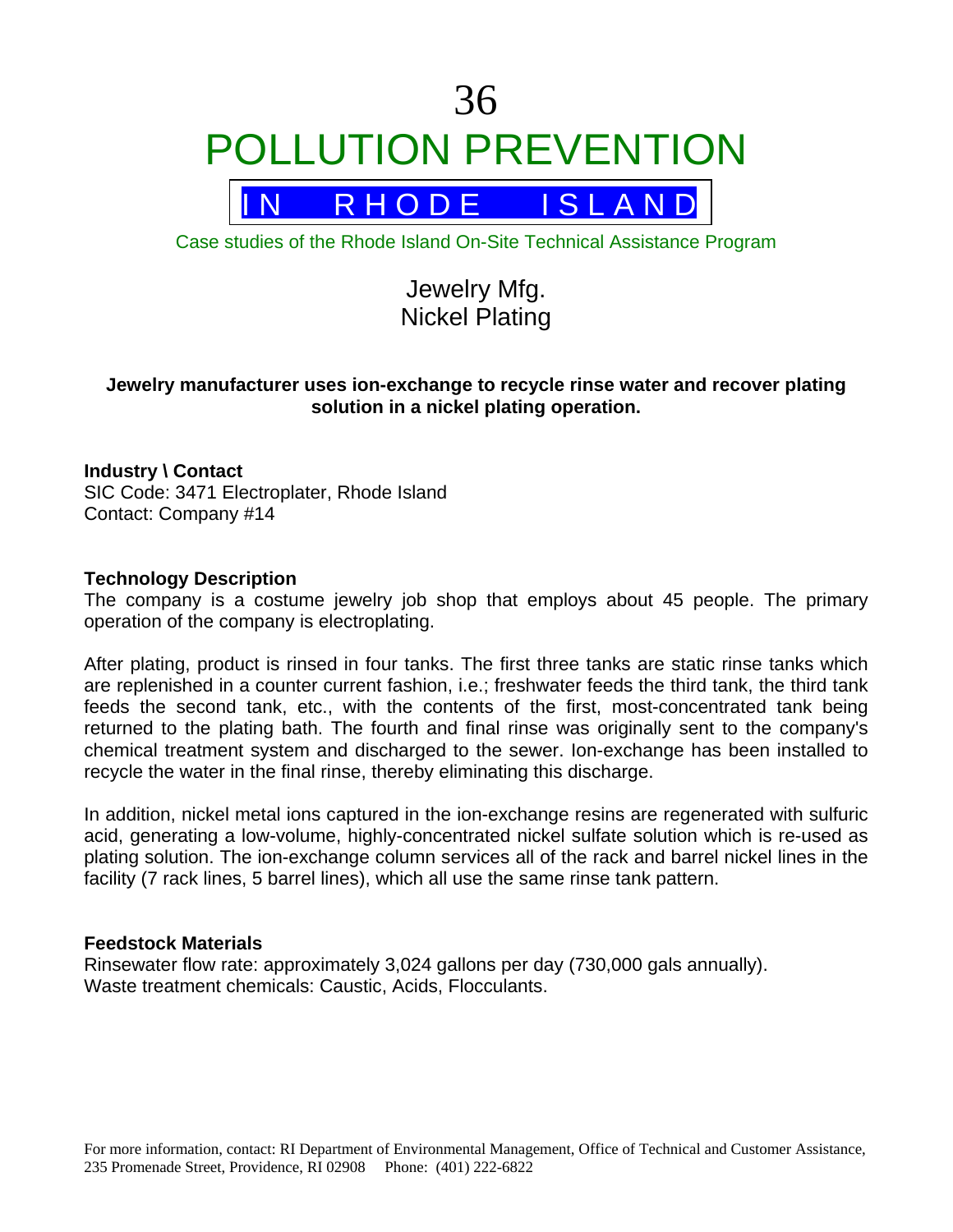# 36 POLLUTION PREVENTION

R H O D E I S L A N D

Case studies of the Rhode Island On-Site Technical Assistance Program

# Jewelry Mfg. Nickel Plating

# **Jewelry manufacturer uses ion-exchange to recycle rinse water and recover plating solution in a nickel plating operation.**

# **Industry \ Contact**

SIC Code: 3471 Electroplater, Rhode Island Contact: Company #14

#### **Technology Description**

The company is a costume jewelry job shop that employs about 45 people. The primary operation of the company is electroplating.

After plating, product is rinsed in four tanks. The first three tanks are static rinse tanks which are replenished in a counter current fashion, i.e.; freshwater feeds the third tank, the third tank feeds the second tank, etc., with the contents of the first, most-concentrated tank being returned to the plating bath. The fourth and final rinse was originally sent to the company's chemical treatment system and discharged to the sewer. Ion-exchange has been installed to recycle the water in the final rinse, thereby eliminating this discharge.

In addition, nickel metal ions captured in the ion-exchange resins are regenerated with sulfuric acid, generating a low-volume, highly-concentrated nickel sulfate solution which is re-used as plating solution. The ion-exchange column services all of the rack and barrel nickel lines in the facility (7 rack lines, 5 barrel lines), which all use the same rinse tank pattern.

# **Feedstock Materials**

Rinsewater flow rate: approximately 3,024 gallons per day (730,000 gals annually). Waste treatment chemicals: Caustic, Acids, Flocculants.